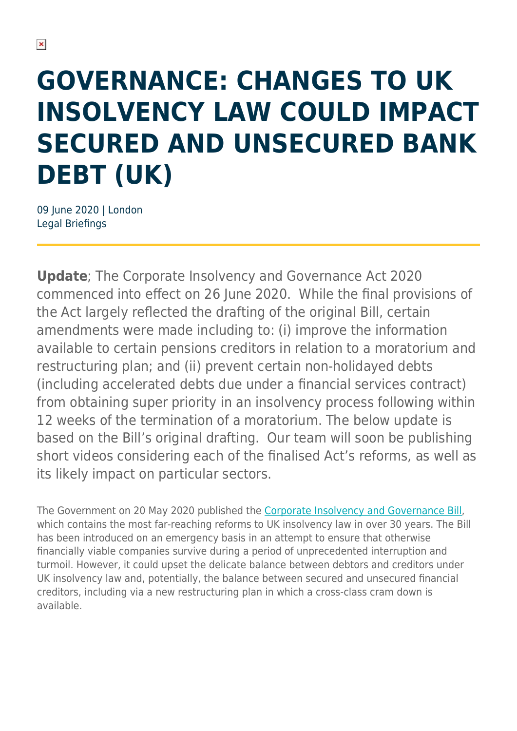# **GOVERNANCE: CHANGES TO UK INSOLVENCY LAW COULD IMPACT SECURED AND UNSECURED BANK DEBT (UK)**

09 June 2020 | London Legal Briefings

**Update**; The Corporate Insolvency and Governance Act 2020 commenced into effect on 26 June 2020. While the final provisions of the Act largely reflected the drafting of the original Bill, certain amendments were made including to: (i) improve the information available to certain pensions creditors in relation to a moratorium and restructuring plan; and (ii) prevent certain non-holidayed debts (including accelerated debts due under a financial services contract) from obtaining super priority in an insolvency process following within 12 weeks of the termination of a moratorium. The below update is based on the Bill's original drafting. Our team will soon be publishing short videos considering each of the finalised Act's reforms, as well as its likely impact on particular sectors.

The Government on 20 May 2020 published the [Corporate Insolvency and Governance Bill,](https://services.parliament.uk/Bills/2019-21/corporateinsolvencyandgovernance.html) which contains the most far-reaching reforms to UK insolvency law in over 30 years. The Bill has been introduced on an emergency basis in an attempt to ensure that otherwise financially viable companies survive during a period of unprecedented interruption and turmoil. However, it could upset the delicate balance between debtors and creditors under UK insolvency law and, potentially, the balance between secured and unsecured financial creditors, including via a new restructuring plan in which a cross-class cram down is available.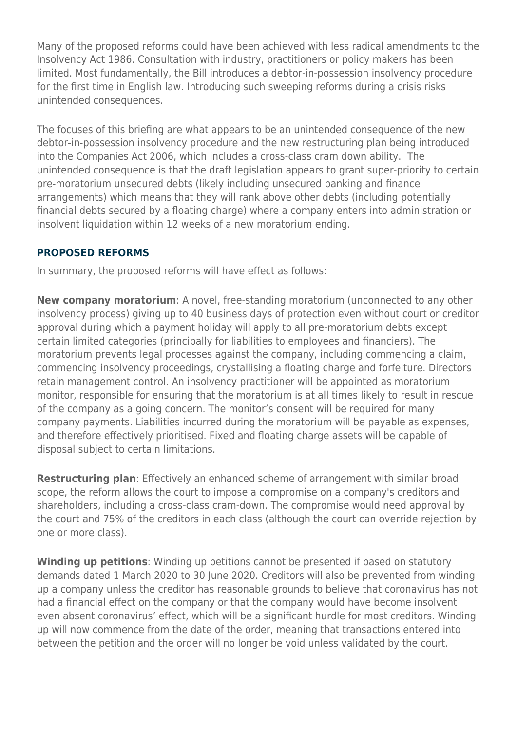Many of the proposed reforms could have been achieved with less radical amendments to the Insolvency Act 1986. Consultation with industry, practitioners or policy makers has been limited. Most fundamentally, the Bill introduces a debtor-in-possession insolvency procedure for the first time in English law. Introducing such sweeping reforms during a crisis risks unintended consequences.

The focuses of this briefing are what appears to be an unintended consequence of the new debtor-in-possession insolvency procedure and the new restructuring plan being introduced into the Companies Act 2006, which includes a cross-class cram down ability. The unintended consequence is that the draft legislation appears to grant super-priority to certain pre-moratorium unsecured debts (likely including unsecured banking and finance arrangements) which means that they will rank above other debts (including potentially financial debts secured by a floating charge) where a company enters into administration or insolvent liquidation within 12 weeks of a new moratorium ending.

#### **PROPOSED REFORMS**

In summary, the proposed reforms will have effect as follows:

**New company moratorium**: A novel, free-standing moratorium (unconnected to any other insolvency process) giving up to 40 business days of protection even without court or creditor approval during which a payment holiday will apply to all pre-moratorium debts except certain limited categories (principally for liabilities to employees and financiers). The moratorium prevents legal processes against the company, including commencing a claim, commencing insolvency proceedings, crystallising a floating charge and forfeiture. Directors retain management control. An insolvency practitioner will be appointed as moratorium monitor, responsible for ensuring that the moratorium is at all times likely to result in rescue of the company as a going concern. The monitor's consent will be required for many company payments. Liabilities incurred during the moratorium will be payable as expenses, and therefore effectively prioritised. Fixed and floating charge assets will be capable of disposal subject to certain limitations.

**Restructuring plan**: Effectively an enhanced scheme of arrangement with similar broad scope, the reform allows the court to impose a compromise on a company's creditors and shareholders, including a cross-class cram-down. The compromise would need approval by the court and 75% of the creditors in each class (although the court can override rejection by one or more class).

**Winding up petitions**: Winding up petitions cannot be presented if based on statutory demands dated 1 March 2020 to 30 June 2020. Creditors will also be prevented from winding up a company unless the creditor has reasonable grounds to believe that coronavirus has not had a financial effect on the company or that the company would have become insolvent even absent coronavirus' effect, which will be a significant hurdle for most creditors. Winding up will now commence from the date of the order, meaning that transactions entered into between the petition and the order will no longer be void unless validated by the court.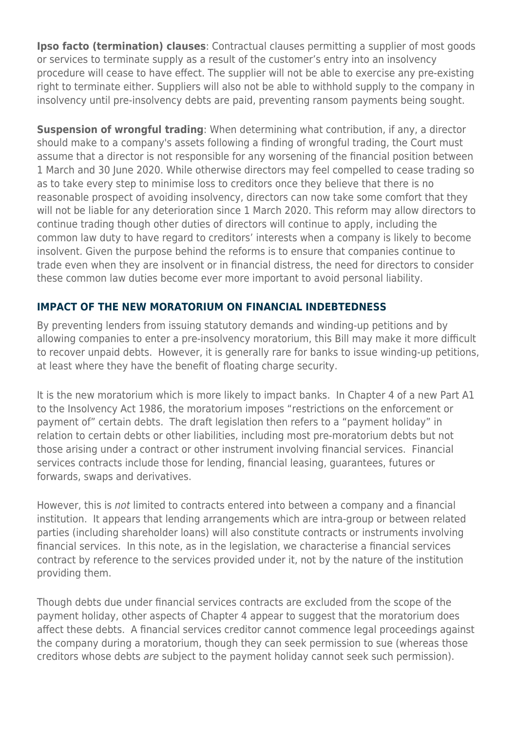**Ipso facto (termination) clauses**: Contractual clauses permitting a supplier of most goods or services to terminate supply as a result of the customer's entry into an insolvency procedure will cease to have effect. The supplier will not be able to exercise any pre-existing right to terminate either. Suppliers will also not be able to withhold supply to the company in insolvency until pre-insolvency debts are paid, preventing ransom payments being sought.

**Suspension of wrongful trading**: When determining what contribution, if any, a director should make to a company's assets following a finding of wrongful trading, the Court must assume that a director is not responsible for any worsening of the financial position between 1 March and 30 June 2020. While otherwise directors may feel compelled to cease trading so as to take every step to minimise loss to creditors once they believe that there is no reasonable prospect of avoiding insolvency, directors can now take some comfort that they will not be liable for any deterioration since 1 March 2020. This reform may allow directors to continue trading though other duties of directors will continue to apply, including the common law duty to have regard to creditors' interests when a company is likely to become insolvent. Given the purpose behind the reforms is to ensure that companies continue to trade even when they are insolvent or in financial distress, the need for directors to consider these common law duties become ever more important to avoid personal liability.

#### **IMPACT OF THE NEW MORATORIUM ON FINANCIAL INDEBTEDNESS**

By preventing lenders from issuing statutory demands and winding-up petitions and by allowing companies to enter a pre-insolvency moratorium, this Bill may make it more difficult to recover unpaid debts. However, it is generally rare for banks to issue winding-up petitions, at least where they have the benefit of floating charge security.

It is the new moratorium which is more likely to impact banks. In Chapter 4 of a new Part A1 to the Insolvency Act 1986, the moratorium imposes "restrictions on the enforcement or payment of" certain debts. The draft legislation then refers to a "payment holiday" in relation to certain debts or other liabilities, including most pre-moratorium debts but not those arising under a contract or other instrument involving financial services. Financial services contracts include those for lending, financial leasing, guarantees, futures or forwards, swaps and derivatives.

However, this is not limited to contracts entered into between a company and a financial institution. It appears that lending arrangements which are intra-group or between related parties (including shareholder loans) will also constitute contracts or instruments involving financial services. In this note, as in the legislation, we characterise a financial services contract by reference to the services provided under it, not by the nature of the institution providing them.

Though debts due under financial services contracts are excluded from the scope of the payment holiday, other aspects of Chapter 4 appear to suggest that the moratorium does affect these debts. A financial services creditor cannot commence legal proceedings against the company during a moratorium, though they can seek permission to sue (whereas those creditors whose debts are subject to the payment holiday cannot seek such permission).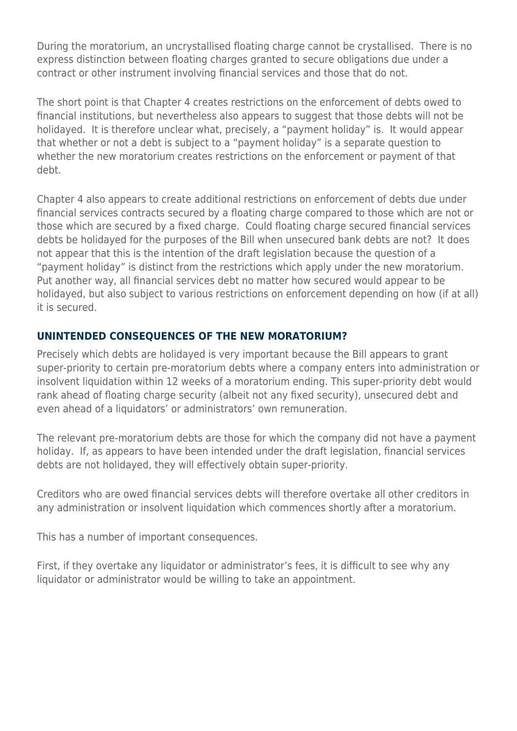During the moratorium, an uncrystallised floating charge cannot be crystallised. There is no express distinction between floating charges granted to secure obligations due under a contract or other instrument involving financial services and those that do not.

The short point is that Chapter 4 creates restrictions on the enforcement of debts owed to financial institutions, but nevertheless also appears to suggest that those debts will not be holidayed. It is therefore unclear what, precisely, a "payment holiday" is. It would appear that whether or not a debt is subject to a "payment holiday" is a separate question to whether the new moratorium creates restrictions on the enforcement or payment of that debt.

Chapter 4 also appears to create additional restrictions on enforcement of debts due under financial services contracts secured by a floating charge compared to those which are not or those which are secured by a fixed charge. Could floating charge secured financial services debts be holidayed for the purposes of the Bill when unsecured bank debts are not? It does not appear that this is the intention of the draft legislation because the question of a "payment holiday" is distinct from the restrictions which apply under the new moratorium. Put another way, all financial services debt no matter how secured would appear to be holidayed, but also subject to various restrictions on enforcement depending on how (if at all) it is secured.

#### **UNINTENDED CONSEQUENCES OF THE NEW MORATORIUM?**

Precisely which debts are holidayed is very important because the Bill appears to grant super-priority to certain pre-moratorium debts where a company enters into administration or insolvent liquidation within 12 weeks of a moratorium ending. This super-priority debt would rank ahead of floating charge security (albeit not any fixed security), unsecured debt and even ahead of a liquidators' or administrators' own remuneration.

The relevant pre-moratorium debts are those for which the company did not have a payment holiday. If, as appears to have been intended under the draft legislation, financial services debts are not holidayed, they will effectively obtain super-priority.

Creditors who are owed financial services debts will therefore overtake all other creditors in any administration or insolvent liquidation which commences shortly after a moratorium.

This has a number of important consequences.

First, if they overtake any liquidator or administrator's fees, it is difficult to see why any liquidator or administrator would be willing to take an appointment.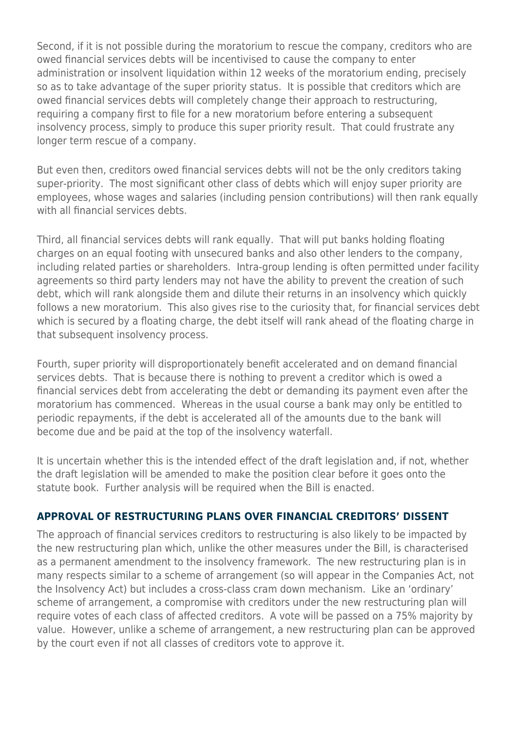Second, if it is not possible during the moratorium to rescue the company, creditors who are owed financial services debts will be incentivised to cause the company to enter administration or insolvent liquidation within 12 weeks of the moratorium ending, precisely so as to take advantage of the super priority status. It is possible that creditors which are owed financial services debts will completely change their approach to restructuring, requiring a company first to file for a new moratorium before entering a subsequent insolvency process, simply to produce this super priority result. That could frustrate any longer term rescue of a company.

But even then, creditors owed financial services debts will not be the only creditors taking super-priority. The most significant other class of debts which will enjoy super priority are employees, whose wages and salaries (including pension contributions) will then rank equally with all financial services debts.

Third, all financial services debts will rank equally. That will put banks holding floating charges on an equal footing with unsecured banks and also other lenders to the company, including related parties or shareholders. Intra-group lending is often permitted under facility agreements so third party lenders may not have the ability to prevent the creation of such debt, which will rank alongside them and dilute their returns in an insolvency which quickly follows a new moratorium. This also gives rise to the curiosity that, for financial services debt which is secured by a floating charge, the debt itself will rank ahead of the floating charge in that subsequent insolvency process.

Fourth, super priority will disproportionately benefit accelerated and on demand financial services debts. That is because there is nothing to prevent a creditor which is owed a financial services debt from accelerating the debt or demanding its payment even after the moratorium has commenced. Whereas in the usual course a bank may only be entitled to periodic repayments, if the debt is accelerated all of the amounts due to the bank will become due and be paid at the top of the insolvency waterfall.

It is uncertain whether this is the intended effect of the draft legislation and, if not, whether the draft legislation will be amended to make the position clear before it goes onto the statute book. Further analysis will be required when the Bill is enacted.

#### **APPROVAL OF RESTRUCTURING PLANS OVER FINANCIAL CREDITORS' DISSENT**

The approach of financial services creditors to restructuring is also likely to be impacted by the new restructuring plan which, unlike the other measures under the Bill, is characterised as a permanent amendment to the insolvency framework. The new restructuring plan is in many respects similar to a scheme of arrangement (so will appear in the Companies Act, not the Insolvency Act) but includes a cross-class cram down mechanism. Like an 'ordinary' scheme of arrangement, a compromise with creditors under the new restructuring plan will require votes of each class of affected creditors. A vote will be passed on a 75% majority by value. However, unlike a scheme of arrangement, a new restructuring plan can be approved by the court even if not all classes of creditors vote to approve it.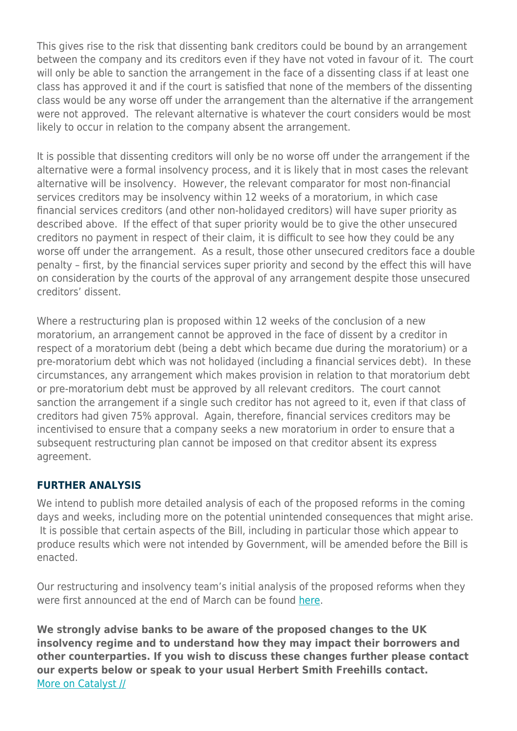This gives rise to the risk that dissenting bank creditors could be bound by an arrangement between the company and its creditors even if they have not voted in favour of it. The court will only be able to sanction the arrangement in the face of a dissenting class if at least one class has approved it and if the court is satisfied that none of the members of the dissenting class would be any worse off under the arrangement than the alternative if the arrangement were not approved. The relevant alternative is whatever the court considers would be most likely to occur in relation to the company absent the arrangement.

It is possible that dissenting creditors will only be no worse off under the arrangement if the alternative were a formal insolvency process, and it is likely that in most cases the relevant alternative will be insolvency. However, the relevant comparator for most non-financial services creditors may be insolvency within 12 weeks of a moratorium, in which case financial services creditors (and other non-holidayed creditors) will have super priority as described above. If the effect of that super priority would be to give the other unsecured creditors no payment in respect of their claim, it is difficult to see how they could be any worse off under the arrangement. As a result, those other unsecured creditors face a double penalty – first, by the financial services super priority and second by the effect this will have on consideration by the courts of the approval of any arrangement despite those unsecured creditors' dissent.

Where a restructuring plan is proposed within 12 weeks of the conclusion of a new moratorium, an arrangement cannot be approved in the face of dissent by a creditor in respect of a moratorium debt (being a debt which became due during the moratorium) or a pre-moratorium debt which was not holidayed (including a financial services debt). In these circumstances, any arrangement which makes provision in relation to that moratorium debt or pre-moratorium debt must be approved by all relevant creditors. The court cannot sanction the arrangement if a single such creditor has not agreed to it, even if that class of creditors had given 75% approval. Again, therefore, financial services creditors may be incentivised to ensure that a company seeks a new moratorium in order to ensure that a subsequent restructuring plan cannot be imposed on that creditor absent its express agreement.

#### **FURTHER ANALYSIS**

We intend to publish more detailed analysis of each of the proposed reforms in the coming days and weeks, including more on the potential unintended consequences that might arise. It is possible that certain aspects of the Bill, including in particular those which appear to produce results which were not intended by Government, will be amended before the Bill is enacted.

Our restructuring and insolvency team's initial analysis of the proposed reforms when they were first announced at the end of March can be found [here.](https://www.herbertsmithfreehills.com/latest-thinking/covid-19-governance-proposed-changes-to-insolvency-law-in-response-to-the-crisis)

**We strongly advise banks to be aware of the proposed changes to the UK insolvency regime and to understand how they may impact their borrowers and other counterparties. If you wish to discuss these changes further please contact our experts below or speak to your usual Herbert Smith Freehills contact.** [More on Catalyst //](https://www.herbertsmithfreehills.com/latest-thinking/catalyst)